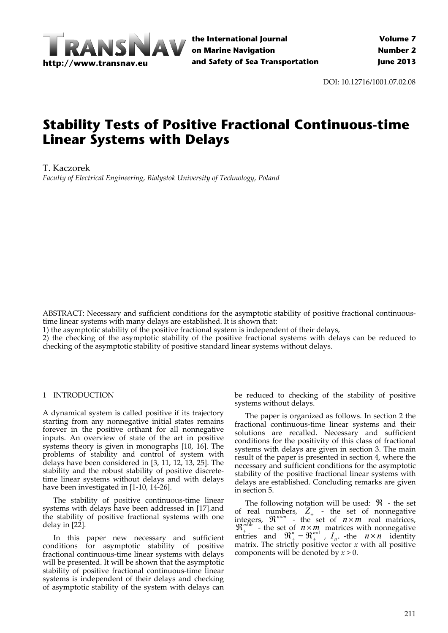

DOI: 10.12716/1001.07.02.08

# **Stability Tests of Positive Fractional Continuous-time Linear Systems with Delays**

T. Kaczorek

*Faculty of Electrical Engineering, Bialystok University of Technology, Poland*

ABSTRACT: Necessary and sufficient conditions for the asymptotic stability of positive fractional continuoustime linear systems with many delays are established. It is shown that:

1) the asymptotic stability of the positive fractional system is independent of their delays,

2) the checking of the asymptotic stability of the positive fractional systems with delays can be reduced to checking of the asymptotic stability of positive standard linear systems without delays.

# 1 INTRODUCTION

A dynamical system is called positive if its trajectory starting from any nonnegative initial states remains forever in the positive orthant for all nonnegative inputs. An overview of state of the art in positive systems theory is given in monographs [10, 16]. The problems of stability and control of system with delays have been considered in [3, 11, 12, 13, 25]. The stability and the robust stability of positive discrete‐ time linear systems without delays and with delays have been investigated in [1‐10, 14‐26].

The stability of positive continuous-time linear systems with delays have been addressed in [17].and the stability of positive fractional systems with one delay in [22].

In this paper new necessary and sufficient conditions for asymptotic stability of positive fractional continuous‐time linear systems with delays will be presented. It will be shown that the asymptotic stability of positive fractional continuous-time linear systems is independent of their delays and checking of asymptotic stability of the system with delays can

be reduced to checking of the stability of positive systems without delays.

The paper is organized as follows. In section 2 the fractional continuous‐time linear systems and their solutions are recalled. Necessary and sufficient conditions for the positivity of this class of fractional systems with delays are given in section 3. The main result of the paper is presented in section 4, where the necessary and sufficient conditions for the asymptotic stability of the positive fractional linear systems with delays are established. Concluding remarks are given in section 5.

The following notation will be used:  $\mathfrak{R}$  - the set of real numbers,  $Z_{+}$  - the set of nonnegative integers,  $\mathbb{R}^{n \times m}$  - the set of  $n \times m$  real matrices,  $\mathbb{R}^{n \times m}$  - the set of  $n \times m$  matrices with nonnegative entries and  $\mathfrak{R}^n_+ = \mathfrak{R}^{n \times 1}_+$ ,  $I_n$ . -the  $n \times n$  identity matrix. The strictly positive vector *x* with all positive components will be denoted by *x* > 0.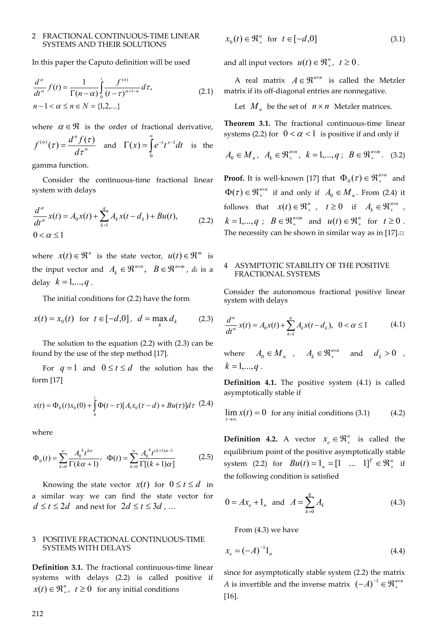## 2 FRACTIONAL CONTINUOUS‐TIME LINEAR SYSTEMS AND THEIR SOLUTIONS

In this paper the Caputo definition will be used

$$
\frac{d^{a}}{dt^{a}}f(t) = \frac{1}{\Gamma(n-\alpha)} \int_{0}^{t} \frac{f^{(n)}}{(t-\tau)^{\alpha+1-n}} d\tau, n-1 < \alpha \le n \in N = \{1,2,...\}
$$
\n(2.1)

where  $\alpha \in \mathcal{R}$  is the order of fractional derivative,

$$
f^{(n)}(\tau) = \frac{d^n f(\tau)}{d\tau^n} \quad \text{and} \quad \Gamma(x) = \int_0^\infty e^{-t} t^{x-1} dt \quad \text{is the}
$$

gamma function.

Consider the continuous‐time fractional linear system with delays

$$
\frac{d^{\alpha}}{dt^{\alpha}}x(t) = A_0x(t) + \sum_{k=1}^{q} A_kx(t - d_k) + Bu(t),
$$
\n
$$
0 < \alpha \le 1
$$
\n(2.2)

where  $x(t) \in \mathbb{R}^n$  is the state vector,  $u(t) \in \mathbb{R}^m$  is the input vector and  $A_k \in \mathbb{R}^{n \times n}$ ,  $B \in \mathbb{R}^{n \times m}$ ,  $d_k$  is a delay  $k = 1, ..., q$ .

The initial conditions for (2.2) have the form

$$
x(t) = x_0(t)
$$
 for  $t \in [-d, 0]$ ,  $d = \max_k d_k$  (2.3)

The solution to the equation (2.2) with (2.3) can be found by the use of the step method [17].

For  $q = 1$  and  $0 \le t \le d$  the solution has the form [17]

$$
x(t) = \Phi_0(t)x_0(0) + \int_0^t \Phi(t-\tau)[A_1x_0(\tau-d) + Bu(\tau)]d\tau
$$
 (2.4)

where

$$
\Phi_0(t) = \sum_{k=0}^{\infty} \frac{A_0^{k} t^{k\alpha}}{\Gamma(k\alpha + 1)}, \quad \Phi(t) = \sum_{k=0}^{\infty} \frac{A_0^{k} t^{(k+1)\alpha - 1}}{\Gamma[(k+1)\alpha]}
$$
(2.5)

Knowing the state vector  $x(t)$  for  $0 \le t \le d$  in a similar way we can find the state vector for  $d \le t \le 2d$  and next for  $2d \le t \le 3d$ , ...

# 3 POSITIVE FRACTIONAL CONTINUOUS‐TIME SYSTEMS WITH DELAYS

**Definition 3.1.** The fractional continuous‐time linear systems with delays (2.2) is called positive if  $x(t) \in \Re_{+}^{n}$ ,  $t \ge 0$  for any initial conditions

$$
x_0(t) \in \mathfrak{R}_+^n \quad \text{for} \quad t \in [-d, 0] \tag{3.1}
$$

and all input vectors  $u(t) \in \mathbb{R}^n$ ,  $t \geq 0$ .

A real matrix  $A \in \mathbb{R}^{n \times n}$  is called the Metzler matrix if its off‐diagonal entries are nonnegative.

Let  $M_n$  be the set of  $n \times n$  Metzler matrices.

**Theorem 3.1.** The fractional continuous‐time linear systems (2.2) for  $0 < \alpha < 1$  is positive if and only if

$$
A_0 \in M_n, \ \ A_k \in \mathfrak{R}_+^{n \times n}, \ \ k = 1, ..., q \ ; \ \ B \in \mathfrak{R}_+^{n \times m}. \ \ (3.2)
$$

**Proof.** It is well-known [17] that  $\Phi_0(\tau) \in \mathbb{R}^{n \times n}_{+}$  and  $\Phi(\tau) \in \mathfrak{R}^{n \times n}_{+}$  if and only if  $A_0 \in M_n$ . From (2.4) it follows that  $x(t) \in \mathbb{R}^n_+$ ,  $t \ge 0$  if  $A_k \in \mathbb{R}^{n \times n}$ ,  $k = 1,...,q$ ;  $B \in \mathbb{R}^{n \times m}_{+}$  and  $u(t) \in \mathbb{R}^{n}_{+}$  for  $t \ge 0$ . The necessity can be shown in similar way as in  $[17]$ . $\square$ 

### 4 ASYMPTOTIC STABILITY OF THE POSITIVE FRACTIONAL SYSTEMS

Consider the autonomous fractional positive linear system with delays

$$
\frac{d^{\alpha}}{dt^{\alpha}}x(t) = A_0x(t) + \sum_{k=1}^{q} A_kx(t - d_k), \ \ 0 < \alpha \le 1 \tag{4.1}
$$

where  $A_0 \in M_n$ ,  $A_k \in \mathfrak{R}_+^{n \times n}$  and  $d_k > 0$ ,  $k = 1, ..., q$ .

**Definition 4.1.** The positive system (4.1) is called asymptotically stable if

$$
\lim_{t \to \infty} x(t) = 0 \text{ for any initial conditions (3.1)} \tag{4.2}
$$

**Definition 4.2.** A vector  $x_e \in \mathcal{R}_+^n$  is called the equilibrium point of the positive asymptotically stable system (2.2) for  $Bu(t) = 1_n = [1 \dots 1]^T \in \mathbb{R}_+^n$  if the following condition is satisfied

$$
0 = Ax_e + 1_n \text{ and } A = \sum_{k=0}^{q} A_k
$$
 (4.3)

From (4.3) we have

$$
x_e = (-A)^{-1} 1_n \tag{4.4}
$$

since for asymptotically stable system (2.2) the matrix *A* is invertible and the inverse matrix  $(-A)^{-1} \in \mathfrak{R}^{n \times n}_{+}$ [16].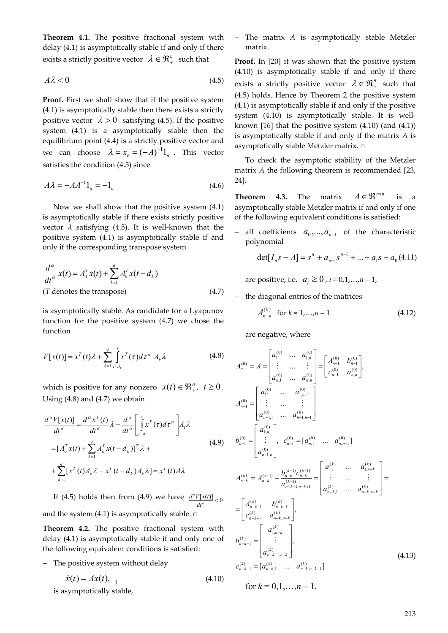**Theorem 4.1.** The positive fractional system with delay (4.1) is asymptotically stable if and only if there exists a strictly positive vector  $\lambda \in \mathfrak{R}^n_+$  such that

$$
A\lambda < 0\tag{4.5}
$$

**Proof.** First we shall show that if the positive system (4.1) is asymptotically stable then there exists a strictly positive vector  $\lambda > 0$  satisfying (4.5). If the positive system (4.1) is a asymptotically stable then the equilibrium point (4.4) is a strictly positive vector and we can choose  $\lambda = x_e = (-A)^{-1} 1$  . This vector satisfies the condition (4.5) since

$$
A\lambda = -AA^{-1}1_n = -1_n \tag{4.6}
$$

Now we shall show that the positive system (4.1) is asymptotically stable if there exists strictly positive vector  $\lambda$  satisfying (4.5). It is well-known that the positive system (4.1) is asymptotically stable if and only if the corresponding transpose system

$$
\frac{d^{a}}{dt^{a}}x(t) = A_{0}^{T}x(t) + \sum_{k=1}^{q} A_{k}^{T}x(t - d_{k})
$$
\n(T denotes the transpose) (4.7)

is asymptotically stable. As candidate for a Lyapunov function for the positive system (4.7) we chose the function

$$
V[x(t)] = x^{T}(t)\lambda + \sum_{k=1}^{q} \int_{t-d_k}^{t} x^{T}(\tau)d\tau^{\alpha} A_{k}\lambda
$$
 (4.8)

which is positive for any nonzero  $x(t) \in \mathbb{R}^n_+$ ,  $t \ge 0$ . Using  $(4.8)$  and  $(4.7)$  we obtain

$$
\frac{d^{\alpha}V[x(t)]}{dt^{\alpha}} = \frac{d^{\alpha}x^{T}(t)}{dt^{\alpha}}\lambda + \frac{d^{\alpha}}{dt^{\alpha}}\left[\int_{t-d}^{t} x^{T}(\tau)d\tau^{\alpha}\right]A_{1}\lambda
$$
\n
$$
= [A_{0}^{T}x(t) + \sum_{k=1}^{q} A_{k}^{T}x(t - d_{k})]^{T}\lambda + \sum_{k=1}^{q} [x^{T}(t)A_{k}\lambda - x^{T}(t - d_{k})A_{k}\lambda] = x^{T}(t)A\lambda
$$
\n(4.9)

If (4.5) holds then from (4.9) we have  $\frac{d^{\alpha}V[x(t)]}{dt^{\alpha}}<0$ *dt*  $d^{\alpha}V[x(t)]$ and the system (4.1) is asymptotically stable.  $\square$ 

**Theorem 4.2.** The positive fractional system with delay (4.1) is asymptotically stable if and only one of the following equivalent conditions is satisfied:

- The positive system without delay

$$
\dot{x}(t) = Ax(t), \quad (4.10)
$$

is asymptotically stable,

 The matrix *A* is asymptotically stable Metzler matrix.

Proof. In [20] it was shown that the positive system (4.10) is asymptotically stable if and only if there exists a strictly positive vector  $\lambda \in \mathbb{R}^n_+$  such that (4.5) holds. Hence by Theorem 2 the positive system (4.1) is asymptotically stable if and only if the positive system  $(4.10)$  is asymptotically stable. It is wellknown [16] that the positive system (4.10) (and (4.1)) is asymptotically stable if and only if the matrix *A* is asymptotically stable Metzler matrix. □

To check the asymptotic stability of the Metzler matrix *A* the following theorem is recommended [23, 24].

**Theorem 4.3.** The matrix  $A \in \mathbb{R}^{n \times n}$  is a asymptotically stable Metzler matrix if and only if one of the following equivalent conditions is satisfied:

all coefficients  $a_0, \ldots, a_{n-1}$  of the characteristic polynomial

$$
\det[I_n s - A] = s^n + a_{n-1} s^{n-1} + \dots + a_1 s + a_0 (4.11)
$$

are positive, i.e.  $a_i \ge 0$ ,  $i = 0,1,...,n-1$ ,

the diagonal entries of the matrices

$$
A_{n-k}^{(k)} \quad \text{for } k = 1, \dots, n-1 \tag{4.12}
$$

are negative, where

$$
A_n^{(0)} = A = \begin{bmatrix} a_{11}^{(0)} & \dots & a_{1,n}^{(0)} \\ \vdots & \dots & \vdots \\ a_{n,1}^{(0)} & \dots & a_{n,n}^{(0)} \end{bmatrix} = \begin{bmatrix} A_{n-1}^{(0)} & b_{n-1}^{(0)} \\ c_{n,1}^{(0)} & a_{n,1}^{(0)} \end{bmatrix},
$$
  
\n
$$
A_{n-1}^{(0)} = \begin{bmatrix} a_{11}^{(0)} & \dots & a_{1,n-1}^{(0)} \\ \vdots & \dots & \vdots \\ a_{n-1,1}^{(0)} & \dots & a_{n-1,n-1}^{(0)} \end{bmatrix}
$$
  
\n
$$
b_{n-1}^{(0)} = \begin{bmatrix} a_{1,n}^{(0)} \\ \vdots \\ a_{n-1,n}^{(0)} \end{bmatrix}, \quad c_{n-1}^{(0)} = [a_{n,1}^{(0)} & \dots & a_{n,n-1}^{(0)}] \quad \dots \quad a_{1,n-k}^{(k)}
$$
  
\n
$$
A_{n-k}^{(k)} = A_{n-k}^{(n-1)} - \frac{b_{n-k}^{(k-1)}c_{n-k}^{(k-1)}}{a_{n-k+1,n-k+1}^{(k-1)}} = \begin{bmatrix} a_{11}^{(k)} & \dots & a_{1,n-k}^{(k)} \\ \vdots & \dots & \vdots \\ a_{n-k,1}^{(k)} & \dots & a_{n-k,n-k}^{(k)} \end{bmatrix} =
$$
  
\n
$$
= \begin{bmatrix} A_{n-k-1}^{(k)} & b_{n-k-1}^{(k)} \\ c_{n-k-1}^{(k)} & a_{n-k,n-k}^{(k)} \\ \vdots \\ a_{n-k-1,n-k}^{(k)} \end{bmatrix},
$$
  
\n
$$
b_{n-k-1}^{(k)} = \begin{bmatrix} a_{1,n-k}^{(k)} \\ \vdots \\ a_{n-k-1,n-k}^{(k)} \end{bmatrix}, \quad a_{n-k,n-k-1}^{(k)} = (4.13)
$$

for  $k = 0, 1, \ldots, n - 1$ .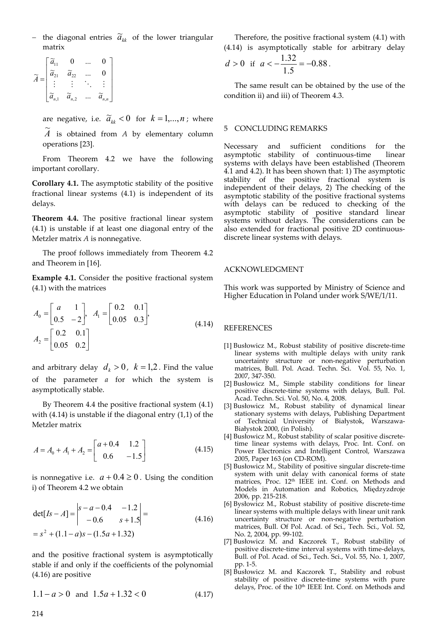- the diagonal entries  $\widetilde{a}_{kk}^{\phantom{\dag}}$  of the lower triangular matrix

$$
\widetilde{A} = \begin{bmatrix} \widetilde{a}_{11} & 0 & \dots & 0 \\ \widetilde{a}_{21} & \widetilde{a}_{22} & \dots & 0 \\ \vdots & \vdots & \ddots & \vdots \\ \widetilde{a}_{n,1} & \widetilde{a}_{n,2} & \dots & \widetilde{a}_{n,n} \end{bmatrix}
$$

are negative, i.e.  $\tilde{a}_{kk} < 0$  for  $k = 1, ..., n$ ; where

 $\widetilde{A}$  is obtained from *A* by elementary column operations [23].

From Theorem 4.2 we have the following important corollary.

**Corollary 4.1.** The asymptotic stability of the positive fractional linear systems (4.1) is independent of its delays.

**Theorem 4.4.** The positive fractional linear system (4.1) is unstable if at least one diagonal entry of the Metzler matrix *A* is nonnegative.

The proof follows immediately from Theorem 4.2 and Theorem in [16].

**Example 4.1.** Consider the positive fractional system (4.1) with the matrices

$$
A_0 = \begin{bmatrix} a & 1 \\ 0.5 & -2 \end{bmatrix}, A_1 = \begin{bmatrix} 0.2 & 0.1 \\ 0.05 & 0.3 \end{bmatrix},
$$
  
\n
$$
A_2 = \begin{bmatrix} 0.2 & 0.1 \\ 0.05 & 0.2 \end{bmatrix}
$$
 (4.14)

and arbitrary delay  $d_k > 0$ ,  $k = 1,2$ . Find the value of the parameter *a* for which the system is asymptotically stable.

By Theorem 4.4 the positive fractional system (4.1) with (4.14) is unstable if the diagonal entry (1,1) of the Metzler matrix

$$
A = A_0 + A_1 + A_2 = \begin{bmatrix} a+0.4 & 1.2 \\ 0.6 & -1.5 \end{bmatrix}
$$
 (4.15)

is nonnegative i.e.  $a + 0.4 \ge 0$ . Using the condition i) of Theorem 4.2 we obtain

$$
\det[Is - A] = \begin{vmatrix} s - a - 0.4 & -1.2 \\ -0.6 & s + 1.5 \end{vmatrix} =
$$
  
=  $s^2 + (1.1 - a)s - (1.5a + 1.32)$  (4.16)

and the positive fractional system is asymptotically stable if and only if the coefficients of the polynomial (4.16) are positive

$$
1.1 - a > 0 \quad \text{and} \quad 1.5a + 1.32 < 0 \tag{4.17}
$$

Therefore, the positive fractional system (4.1) with (4.14) is asymptotically stable for arbitrary delay

$$
d > 0 \text{ if } a < -\frac{1.32}{1.5} = -0.88.
$$

The same result can be obtained by the use of the condition ii) and iii) of Theorem 4.3.

#### 5 CONCLUDING REMARKS

Necessary and sufficient conditions for the asymptotic stability of continuous‐time linear systems with delays have been established (Theorem 4.1 and 4.2). It has been shown that: 1) The asymptotic stability of the positive fractional system is independent of their delays, 2) The checking of the asymptotic stability of the positive fractional systems with delays can be reduced to checking of the asymptotic stability of positive standard linear systems without delays. The considerations can be also extended for fractional positive 2D continuous‐ discrete linear systems with delays.

### ACKNOWLEDGMENT

This work was supported by Ministry of Science and Higher Education in Poland under work S/WE/1/11.

#### REFERENCES

- [1] Busłowicz M., Robust stability of positive discrete‐time linear systems with multiple delays with unity rank uncertainty structure or non-negative perturbation matrices, Bull. Pol. Acad. Techn. Sci. Vol. 55, No. 1, 2007, 347‐350.
- [2] Busłowicz M., Simple stability conditions for linear positive discrete-time systems with delays, Bull. Pol. Acad. Techn. Sci. Vol. 50, No. 4, 2008.
- [3] Busłowicz M., Robust stability of dynamical linear stationary systems with delays, Publishing Department of Technical University of Białystok, Warszawa‐ Białystok 2000, (in Polish).
- [4] Busłowicz M., Robust stability of scalar positive discrete‐ time linear systems with delays, Proc. Int. Conf. on Power Electronics and Intelligent Control, Warszawa 2005, Paper 163 (on CD‐ROM).
- [5] Busłowicz M., Stability of positive singular discrete‐time system with unit delay with canonical forms of state matrices, Proc. 12<sup>th</sup> IEEE int. Conf. on Methods and Models in Automation and Robotics, Międzyzdroje 2006, pp. 215‐218.
- [6] Bysłowicz M., Robust stability of positive discrete-time linear systems with multiple delays with linear unit rank uncertainty structure or non‐negative perturbation matrices, Bull. Of Pol. Acad. of Sci., Tech. Sci., Vol. 52, No. 2, 2004, pp. 99‐102.
- [7] Busłowicz M. and Kaczorek T., Robust stability of positive discrete-time interval systems with time-delays, Bull. of Pol. Acad. of Sci., Tech. Sci., Vol. 55, No. 1, 2007, pp. 1‐5.
- [8] Busłowicz M. and Kaczorek T., Stability and robust stability of positive discrete‐time systems with pure delays, Proc. of the 10<sup>th</sup> IEEE Int. Conf. on Methods and